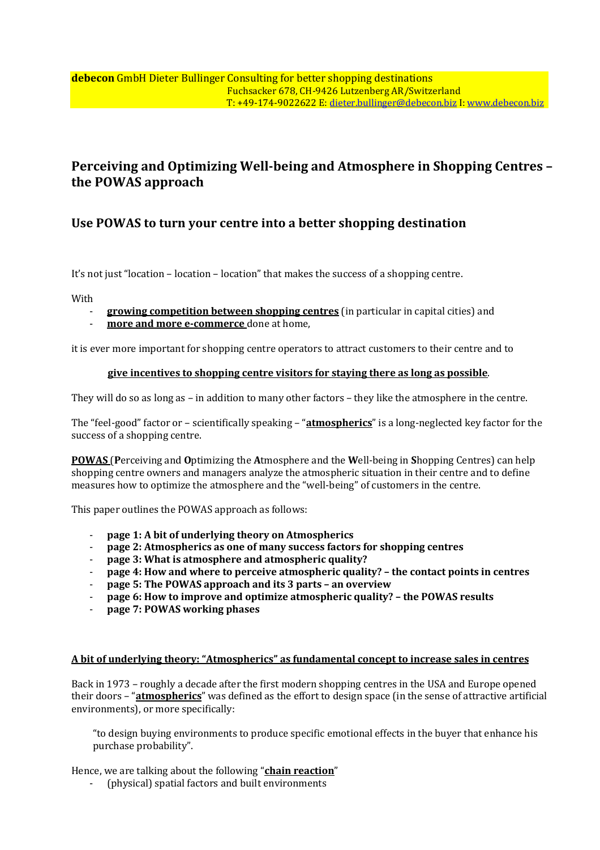# **Perceiving and Optimizing Well-being and Atmosphere in Shopping Centres – the POWAS approach**

## **Use POWAS to turn your centre into a better shopping destination**

It's not just "location – location – location" that makes the success of a shopping centre.

With

- **growing competition between shopping centres** (in particular in capital cities) and
- more and more e-commerce done at home,

it is ever more important for shopping centre operators to attract customers to their centre and to

### **give incentives to shopping centre visitors for staying there as long as possible**.

They will do so as long as – in addition to many other factors – they like the atmosphere in the centre.

The "feel-good" factor or – scientifically speaking – "**atmospherics**" is a long-neglected key factor for the success of a shopping centre.

**POWAS** (**P**erceiving and **O**ptimizing the **A**tmosphere and the **W**ell-being in **S**hopping Centres) can help shopping centre owners and managers analyze the atmospheric situation in their centre and to define measures how to optimize the atmosphere and the "well-being" of customers in the centre.

This paper outlines the POWAS approach as follows:

- **page 1: A bit of underlying theory on Atmospherics**
- **page 2: Atmospherics as one of many success factors for shopping centres**
- **page 3: What is atmosphere and atmospheric quality?**
- **page 4: How and where to perceive atmospheric quality? the contact points in centres**
- **page 5: The POWAS approach and its 3 parts an overview**
- **page 6: How to improve and optimize atmospheric quality? the POWAS results**
- **page 7: POWAS working phases**

## **A bit of underlying theory: "Atmospherics" as fundamental concept to increase sales in centres**

Back in 1973 – roughly a decade after the first modern shopping centres in the USA and Europe opened their doors – "**atmospherics**" was defined as the effort to design space (in the sense of attractive artificial environments), or more specifically:

"to design buying environments to produce specific emotional effects in the buyer that enhance his purchase probability".

Hence, we are talking about the following "**chain reaction**"

- (physical) spatial factors and built environments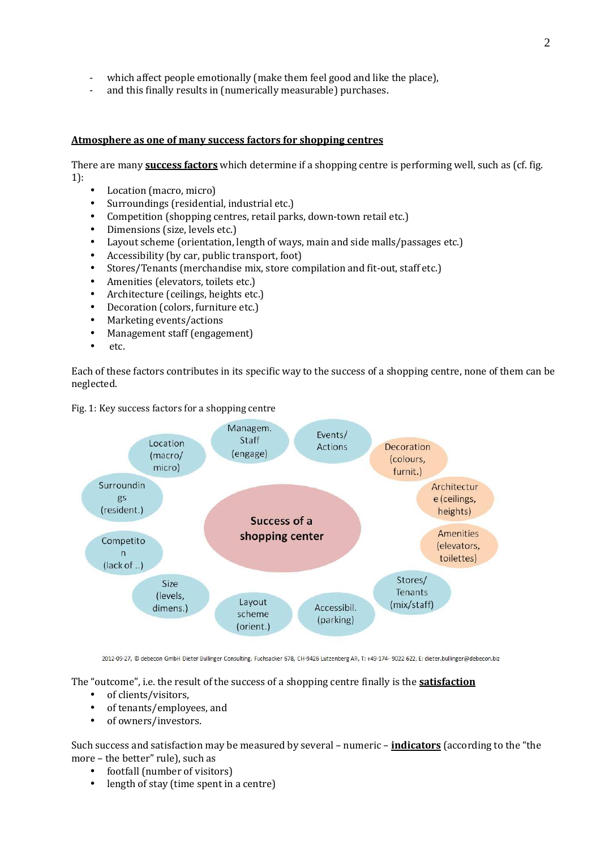- which affect people emotionally (make them feel good and like the place),
- and this finally results in (numerically measurable) purchases.

## **Atmosphere as one of many success factors for shopping centres**

There are many **success factors** which determine if a shopping centre is performing well, such as (cf. fig. 1):

- Location (macro, micro)
- Surroundings (residential, industrial etc.)
- Competition (shopping centres, retail parks, down-town retail etc.)
- Dimensions (size, levels etc.)
- Layout scheme (orientation, length of ways, main and side malls/passages etc.)
- Accessibility (by car, public transport, foot)
- Stores/Tenants (merchandise mix, store compilation and fit-out, staff etc.)
- Amenities (elevators, toilets etc.)
- Architecture (ceilings, heights etc.)
- Decoration (colors, furniture etc.)
- Marketing events/actions
- Management staff (engagement)
- etc.

Each of these factors contributes in its specific way to the success of a shopping centre, none of them can be neglected.



Fig. 1: Key success factors for a shopping centre

2012-09-27, @ debecon GmbH Dieter Bullinger Consulting, Fuchsacker 678, CH-9426 Lutzenberg AR, T: +49-174- 9022 622, E: dieter.bullinger@debecon.biz

The "outcome", i.e. the result of the success of a shopping centre finally is the **satisfaction**

- of clients/visitors,
- of tenants/employees, and
- of owners/investors.

Such success and satisfaction may be measured by several – numeric – **indicators** (according to the "the more – the better" rule), such as

- footfall (number of visitors)
- length of stay (time spent in a centre)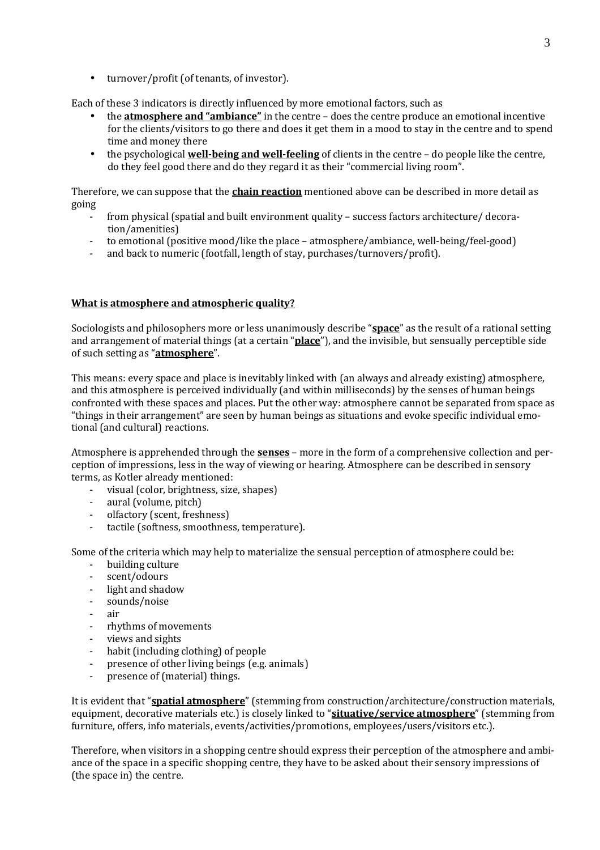• turnover/profit (of tenants, of investor).

Each of these 3 indicators is directly influenced by more emotional factors, such as

- the **atmosphere and "ambiance"** in the centre does the centre produce an emotional incentive for the clients/visitors to go there and does it get them in a mood to stay in the centre and to spend time and money there
- the psychological **well-being and well-feeling** of clients in the centre do people like the centre, do they feel good there and do they regard it as their "commercial living room".

Therefore, we can suppose that the **chain reaction** mentioned above can be described in more detail as going

- from physical (spatial and built environment quality success factors architecture/ decoration/amenities)
- to emotional (positive mood/like the place atmosphere/ambiance, well-being/feel-good)
- and back to numeric (footfall, length of stay, purchases/turnovers/profit).

## **What is atmosphere and atmospheric quality?**

Sociologists and philosophers more or less unanimously describe "**space**" as the result of a rational setting and arrangement of material things (at a certain "**place**"), and the invisible, but sensually perceptible side of such setting as "**atmosphere**".

This means: every space and place is inevitably linked with (an always and already existing) atmosphere, and this atmosphere is perceived individually (and within milliseconds) by the senses of human beings confronted with these spaces and places. Put the other way: atmosphere cannot be separated from space as "things in their arrangement" are seen by human beings as situations and evoke specific individual emotional (and cultural) reactions.

Atmosphere is apprehended through the **senses** – more in the form of a comprehensive collection and perception of impressions, less in the way of viewing or hearing. Atmosphere can be described in sensory terms, as Kotler already mentioned:

- visual (color, brightness, size, shapes)
- aural (volume, pitch)
- olfactory (scent, freshness)
- tactile (softness, smoothness, temperature).

Some of the criteria which may help to materialize the sensual perception of atmosphere could be:

- building culture
- scent/odours
- light and shadow
- sounds/noise
- air
- rhythms of movements
- views and sights<br>- habit fincluding
- habit (including clothing) of people
- presence of other living beings (e.g. animals)
- presence of (material) things.

It is evident that "**spatial atmosphere**" (stemming from construction/architecture/construction materials, equipment, decorative materials etc.) is closely linked to "**situative/service atmosphere**" (stemming from furniture, offers, info materials, events/activities/promotions, employees/users/visitors etc.).

Therefore, when visitors in a shopping centre should express their perception of the atmosphere and ambiance of the space in a specific shopping centre, they have to be asked about their sensory impressions of (the space in) the centre.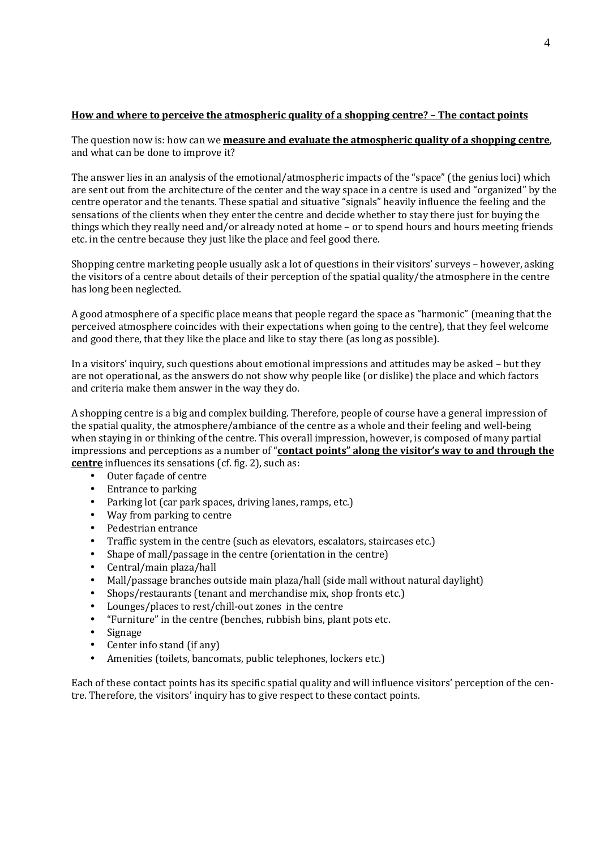## **How and where to perceive the atmospheric quality of a shopping centre? – The contact points**

The question now is: how can we **measure and evaluate the atmospheric quality of a shopping centre**, and what can be done to improve it?

The answer lies in an analysis of the emotional/atmospheric impacts of the "space" (the genius loci) which are sent out from the architecture of the center and the way space in a centre is used and "organized" by the centre operator and the tenants. These spatial and situative "signals" heavily influence the feeling and the sensations of the clients when they enter the centre and decide whether to stay there just for buying the things which they really need and/or already noted at home – or to spend hours and hours meeting friends etc. in the centre because they just like the place and feel good there.

Shopping centre marketing people usually ask a lot of questions in their visitors' surveys – however, asking the visitors of a centre about details of their perception of the spatial quality/the atmosphere in the centre has long been neglected.

A good atmosphere of a specific place means that people regard the space as "harmonic" (meaning that the perceived atmosphere coincides with their expectations when going to the centre), that they feel welcome and good there, that they like the place and like to stay there (as long as possible).

In a visitors' inquiry, such questions about emotional impressions and attitudes may be asked – but they are not operational, as the answers do not show why people like (or dislike) the place and which factors and criteria make them answer in the way they do.

A shopping centre is a big and complex building. Therefore, people of course have a general impression of the spatial quality, the atmosphere/ambiance of the centre as a whole and their feeling and well-being when staying in or thinking of the centre. This overall impression, however, is composed of many partial impressions and perceptions as a number of "**contact points" along the visitor's way to and through the centre** influences its sensations (cf. fig. 2), such as:

- Outer façade of centre
- Entrance to parking
- Parking lot (car park spaces, driving lanes, ramps, etc.)
- Way from parking to centre
- Pedestrian entrance
- Traffic system in the centre (such as elevators, escalators, staircases etc.)
- Shape of mall/passage in the centre (orientation in the centre)
- Central/main plaza/hall
- Mall/passage branches outside main plaza/hall (side mall without natural daylight)
- Shops/restaurants (tenant and merchandise mix, shop fronts etc.)
- Lounges/places to rest/chill-out zones in the centre
- "Furniture" in the centre (benches, rubbish bins, plant pots etc.
- Signage
- Center info stand (if any)
- Amenities (toilets, bancomats, public telephones, lockers etc.)

Each of these contact points has its specific spatial quality and will influence visitors' perception of the centre. Therefore, the visitors' inquiry has to give respect to these contact points.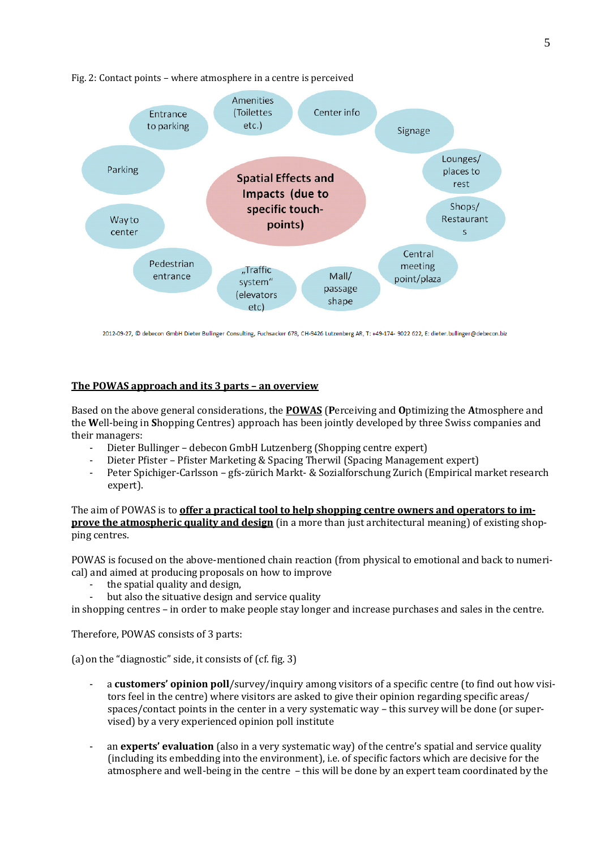

#### Fig. 2: Contact points – where atmosphere in a centre is perceived

2012-09-27, @ debecon GmbH Dieter Bullinger Consulting, Fuchsacker 678, CH-9426 Lutzenberg AR, T: +49-174- 9022 622, E: dieter.bullinger@debecon.biz

### **The POWAS approach and its 3 parts – an overview**

Based on the above general considerations, the **POWAS** (**P**erceiving and **O**ptimizing the **A**tmosphere and the **W**ell-being in **S**hopping Centres) approach has been jointly developed by three Swiss companies and their managers:

- Dieter Bullinger debecon GmbH Lutzenberg (Shopping centre expert)
- Dieter Pfister Pfister Marketing & Spacing Therwil (Spacing Management expert)
- Peter Spichiger-Carlsson gfs-zürich Markt- & Sozialforschung Zurich (Empirical market research expert).

The aim of POWAS is to **offer a practical tool to help shopping centre owners and operators to improve the atmospheric quality and design** (in a more than just architectural meaning) of existing shopping centres.

POWAS is focused on the above-mentioned chain reaction (from physical to emotional and back to numerical) and aimed at producing proposals on how to improve

- the spatial quality and design,
- but also the situative design and service quality

in shopping centres – in order to make people stay longer and increase purchases and sales in the centre.

Therefore, POWAS consists of 3 parts:

(a)on the "diagnostic" side, it consists of (cf. fig. 3)

- a **customers' opinion poll**/survey/inquiry among visitors of a specific centre (to find out how visitors feel in the centre) where visitors are asked to give their opinion regarding specific areas/ spaces/contact points in the center in a very systematic way – this survey will be done (or supervised) by a very experienced opinion poll institute
- an **experts' evaluation** (also in a very systematic way) of the centre's spatial and service quality (including its embedding into the environment), i.e. of specific factors which are decisive for the atmosphere and well-being in the centre – this will be done by an expert team coordinated by the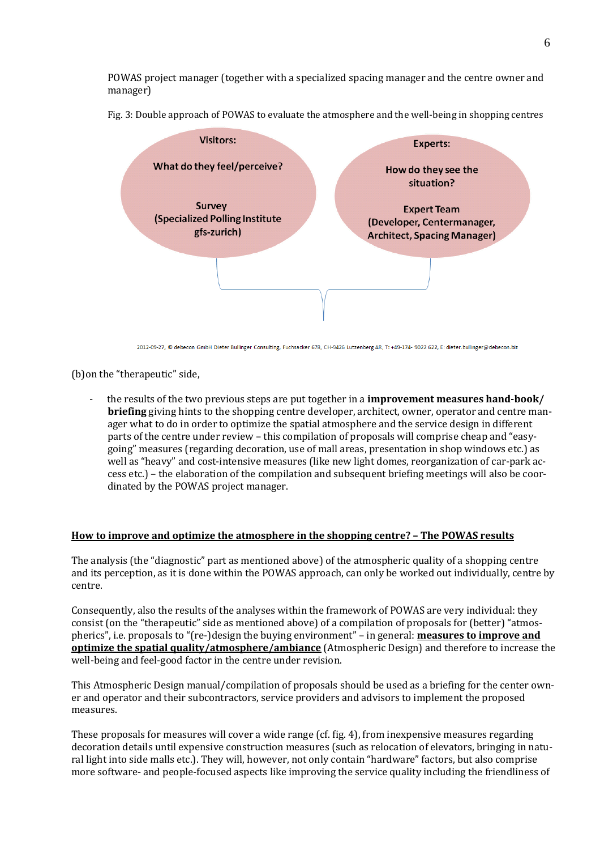POWAS project manager (together with a specialized spacing manager and the centre owner and manager)

Fig. 3: Double approach of POWAS to evaluate the atmosphere and the well-being in shopping centres



2012-09-27, © debecon GmbH Dieter Bullinger Consulting, Fuchsacker 678, CH-9426 Lutzenberg AR, T: +49-174- 9022 622, E: dieter.bullinger@debecon.biz

(b)on the "therapeutic" side,

- the results of the two previous steps are put together in a **improvement measures hand-book/ briefing** giving hints to the shopping centre developer, architect, owner, operator and centre manager what to do in order to optimize the spatial atmosphere and the service design in different parts of the centre under review – this compilation of proposals will comprise cheap and "easygoing" measures (regarding decoration, use of mall areas, presentation in shop windows etc.) as well as "heavy" and cost-intensive measures (like new light domes, reorganization of car-park access etc.) – the elaboration of the compilation and subsequent briefing meetings will also be coordinated by the POWAS project manager.

#### **How to improve and optimize the atmosphere in the shopping centre? – The POWAS results**

The analysis (the "diagnostic" part as mentioned above) of the atmospheric quality of a shopping centre and its perception, as it is done within the POWAS approach, can only be worked out individually, centre by centre.

Consequently, also the results of the analyses within the framework of POWAS are very individual: they consist (on the "therapeutic" side as mentioned above) of a compilation of proposals for (better) "atmospherics", i.e. proposals to "(re-)design the buying environment" – in general: **measures to improve and optimize the spatial quality/atmosphere/ambiance** (Atmospheric Design) and therefore to increase the well-being and feel-good factor in the centre under revision.

This Atmospheric Design manual/compilation of proposals should be used as a briefing for the center owner and operator and their subcontractors, service providers and advisors to implement the proposed measures.

These proposals for measures will cover a wide range (cf. fig. 4), from inexpensive measures regarding decoration details until expensive construction measures (such as relocation of elevators, bringing in natural light into side malls etc.). They will, however, not only contain "hardware" factors, but also comprise more software- and people-focused aspects like improving the service quality including the friendliness of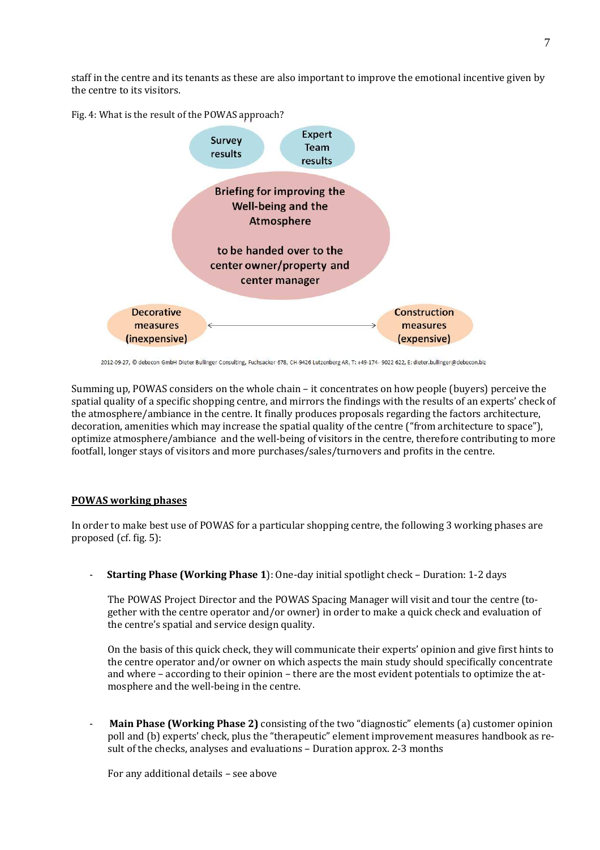staff in the centre and its tenants as these are also important to improve the emotional incentive given by the centre to its visitors.

Fig. 4: What is the result of the POWAS approach?



<sup>2012-09-27, ©</sup> debecon GmbH Dieter Bullinger Consulting, Fuchsacker 678, CH-9426 Lutzenberg AR, T: +49-174- 9022 622, E: dieter.bullinger@debecon.biz

Summing up, POWAS considers on the whole chain – it concentrates on how people (buyers) perceive the spatial quality of a specific shopping centre, and mirrors the findings with the results of an experts' check of the atmosphere/ambiance in the centre. It finally produces proposals regarding the factors architecture, decoration, amenities which may increase the spatial quality of the centre ("from architecture to space"), optimize atmosphere/ambiance and the well-being of visitors in the centre, therefore contributing to more footfall, longer stays of visitors and more purchases/sales/turnovers and profits in the centre.

## **POWAS working phases**

In order to make best use of POWAS for a particular shopping centre, the following 3 working phases are proposed (cf. fig. 5):

- **Starting Phase (Working Phase 1**): One-day initial spotlight check – Duration: 1-2 days

The POWAS Project Director and the POWAS Spacing Manager will visit and tour the centre (together with the centre operator and/or owner) in order to make a quick check and evaluation of the centre's spatial and service design quality.

On the basis of this quick check, they will communicate their experts' opinion and give first hints to the centre operator and/or owner on which aspects the main study should specifically concentrate and where – according to their opinion – there are the most evident potentials to optimize the atmosphere and the well-being in the centre.

- **Main Phase (Working Phase 2)** consisting of the two "diagnostic" elements (a) customer opinion poll and (b) experts' check, plus the "therapeutic" element improvement measures handbook as result of the checks, analyses and evaluations – Duration approx. 2-3 months

For any additional details – see above